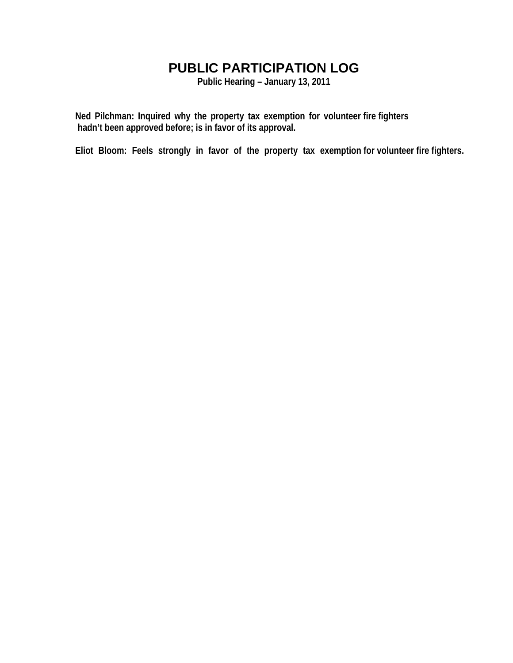## **PUBLIC PARTICIPATION LOG**

**Public Hearing – January 13, 2011** 

**Ned Pilchman: Inquired why the property tax exemption for volunteer fire fighters hadn't been approved before; is in favor of its approval.** 

**Eliot Bloom: Feels strongly in favor of the property tax exemption for volunteer fire fighters.**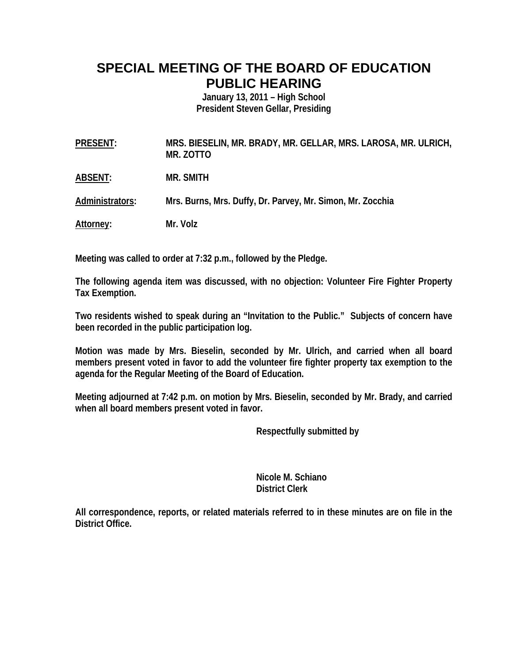## **SPECIAL MEETING OF THE BOARD OF EDUCATION PUBLIC HEARING**

**January 13, 2011 – High School President Steven Gellar, Presiding** 

**PRESENT: MRS. BIESELIN, MR. BRADY, MR. GELLAR, MRS. LAROSA, MR. ULRICH, MR. ZOTTO** 

**ABSENT: MR. SMITH** 

**Administrators: Mrs. Burns, Mrs. Duffy, Dr. Parvey, Mr. Simon, Mr. Zocchia** 

**Attorney: Mr. Volz** 

**Meeting was called to order at 7:32 p.m., followed by the Pledge.** 

**The following agenda item was discussed, with no objection: Volunteer Fire Fighter Property Tax Exemption.** 

**Two residents wished to speak during an "Invitation to the Public." Subjects of concern have been recorded in the public participation log.** 

**Motion was made by Mrs. Bieselin, seconded by Mr. Ulrich, and carried when all board members present voted in favor to add the volunteer fire fighter property tax exemption to the agenda for the Regular Meeting of the Board of Education.** 

**Meeting adjourned at 7:42 p.m. on motion by Mrs. Bieselin, seconded by Mr. Brady, and carried when all board members present voted in favor.** 

 **Respectfully submitted by** 

 **Nicole M. Schiano District Clerk** 

**All correspondence, reports, or related materials referred to in these minutes are on file in the District Office.**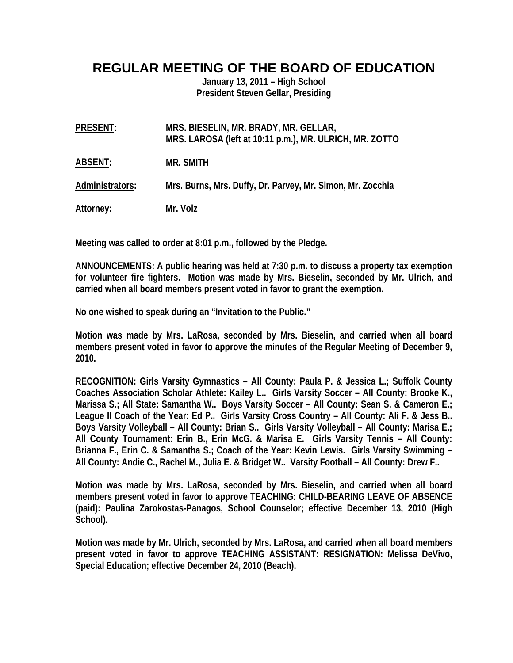## **REGULAR MEETING OF THE BOARD OF EDUCATION**

**January 13, 2011 – High School President Steven Gellar, Presiding** 

| PRESENT:         | MRS. BIESELIN, MR. BRADY, MR. GELLAR,<br>MRS. LAROSA (left at 10:11 p.m.), MR. ULRICH, MR. ZOTTO |
|------------------|--------------------------------------------------------------------------------------------------|
| ABSENT:          | MR. SMITH                                                                                        |
| Administrators:  | Mrs. Burns, Mrs. Duffy, Dr. Parvey, Mr. Simon, Mr. Zocchia                                       |
| <u>Attorney:</u> | Mr. Volz                                                                                         |

**Meeting was called to order at 8:01 p.m., followed by the Pledge.** 

**ANNOUNCEMENTS: A public hearing was held at 7:30 p.m. to discuss a property tax exemption for volunteer fire fighters. Motion was made by Mrs. Bieselin, seconded by Mr. Ulrich, and carried when all board members present voted in favor to grant the exemption.** 

**No one wished to speak during an "Invitation to the Public."** 

**Motion was made by Mrs. LaRosa, seconded by Mrs. Bieselin, and carried when all board members present voted in favor to approve the minutes of the Regular Meeting of December 9, 2010.** 

**RECOGNITION: Girls Varsity Gymnastics – All County: Paula P. & Jessica L.; Suffolk County Coaches Association Scholar Athlete: Kailey L.. Girls Varsity Soccer – All County: Brooke K., Marissa S.; All State: Samantha W.. Boys Varsity Soccer – All County: Sean S. & Cameron E.; League II Coach of the Year: Ed P.. Girls Varsity Cross Country – All County: Ali F. & Jess B.. Boys Varsity Volleyball – All County: Brian S.. Girls Varsity Volleyball – All County: Marisa E.; All County Tournament: Erin B., Erin McG. & Marisa E. Girls Varsity Tennis – All County: Brianna F., Erin C. & Samantha S.; Coach of the Year: Kevin Lewis. Girls Varsity Swimming – All County: Andie C., Rachel M., Julia E. & Bridget W.. Varsity Football – All County: Drew F..** 

**Motion was made by Mrs. LaRosa, seconded by Mrs. Bieselin, and carried when all board members present voted in favor to approve TEACHING: CHILD-BEARING LEAVE OF ABSENCE (paid): Paulina Zarokostas-Panagos, School Counselor; effective December 13, 2010 (High School).** 

**Motion was made by Mr. Ulrich, seconded by Mrs. LaRosa, and carried when all board members present voted in favor to approve TEACHING ASSISTANT: RESIGNATION: Melissa DeVivo, Special Education; effective December 24, 2010 (Beach).**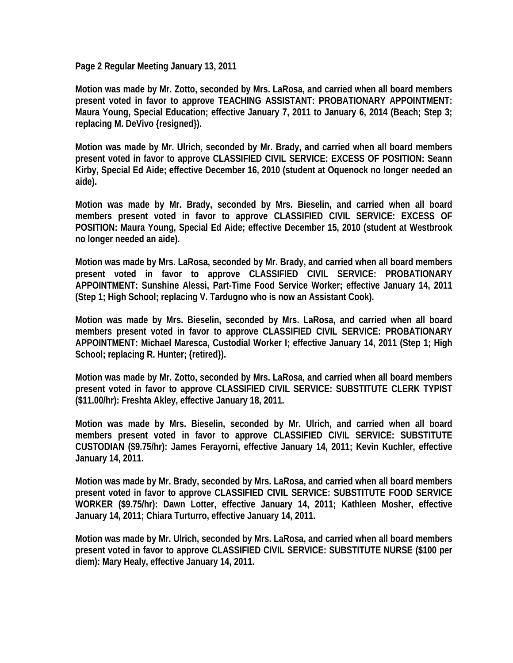**Page 2 Regular Meeting January 13, 2011** 

**Motion was made by Mr. Zotto, seconded by Mrs. LaRosa, and carried when all board members present voted in favor to approve TEACHING ASSISTANT: PROBATIONARY APPOINTMENT: Maura Young, Special Education; effective January 7, 2011 to January 6, 2014 (Beach; Step 3; replacing M. DeVivo {resigned}).** 

**Motion was made by Mr. Ulrich, seconded by Mr. Brady, and carried when all board members present voted in favor to approve CLASSIFIED CIVIL SERVICE: EXCESS OF POSITION: Seann Kirby, Special Ed Aide; effective December 16, 2010 (student at Oquenock no longer needed an aide).** 

**Motion was made by Mr. Brady, seconded by Mrs. Bieselin, and carried when all board members present voted in favor to approve CLASSIFIED CIVIL SERVICE: EXCESS OF POSITION: Maura Young, Special Ed Aide; effective December 15, 2010 (student at Westbrook no longer needed an aide).** 

**Motion was made by Mrs. LaRosa, seconded by Mr. Brady, and carried when all board members present voted in favor to approve CLASSIFIED CIVIL SERVICE: PROBATIONARY APPOINTMENT: Sunshine Alessi, Part-Time Food Service Worker; effective January 14, 2011 (Step 1; High School; replacing V. Tardugno who is now an Assistant Cook).** 

**Motion was made by Mrs. Bieselin, seconded by Mrs. LaRosa, and carried when all board members present voted in favor to approve CLASSIFIED CIVIL SERVICE: PROBATIONARY APPOINTMENT: Michael Maresca, Custodial Worker I; effective January 14, 2011 (Step 1; High School; replacing R. Hunter; {retired}).** 

**Motion was made by Mr. Zotto, seconded by Mrs. LaRosa, and carried when all board members present voted in favor to approve CLASSIFIED CIVIL SERVICE: SUBSTITUTE CLERK TYPIST (\$11.00/hr): Freshta Akley, effective January 18, 2011.** 

**Motion was made by Mrs. Bieselin, seconded by Mr. Ulrich, and carried when all board members present voted in favor to approve CLASSIFIED CIVIL SERVICE: SUBSTITUTE CUSTODIAN (\$9.75/hr): James Ferayorni, effective January 14, 2011; Kevin Kuchler, effective January 14, 2011.** 

**Motion was made by Mr. Brady, seconded by Mrs. LaRosa, and carried when all board members present voted in favor to approve CLASSIFIED CIVIL SERVICE: SUBSTITUTE FOOD SERVICE WORKER (\$9.75/hr): Dawn Lotter, effective January 14, 2011; Kathleen Mosher, effective January 14, 2011; Chiara Turturro, effective January 14, 2011.** 

**Motion was made by Mr. Ulrich, seconded by Mrs. LaRosa, and carried when all board members present voted in favor to approve CLASSIFIED CIVIL SERVICE: SUBSTITUTE NURSE (\$100 per diem): Mary Healy, effective January 14, 2011.**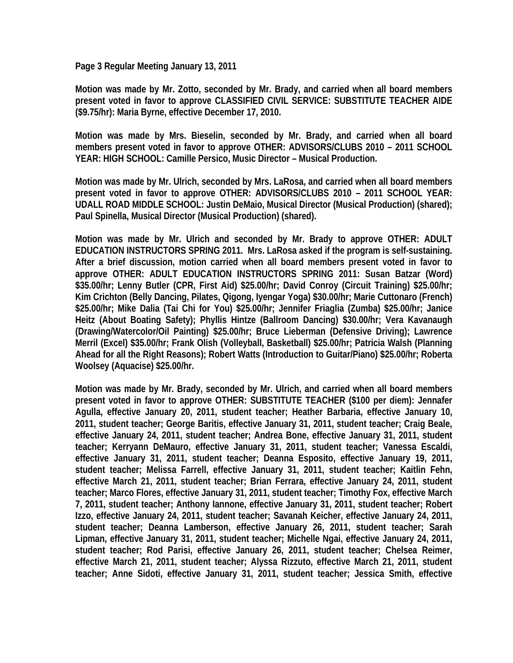**Page 3 Regular Meeting January 13, 2011** 

**Motion was made by Mr. Zotto, seconded by Mr. Brady, and carried when all board members present voted in favor to approve CLASSIFIED CIVIL SERVICE: SUBSTITUTE TEACHER AIDE (\$9.75/hr): Maria Byrne, effective December 17, 2010.** 

**Motion was made by Mrs. Bieselin, seconded by Mr. Brady, and carried when all board members present voted in favor to approve OTHER: ADVISORS/CLUBS 2010 – 2011 SCHOOL YEAR: HIGH SCHOOL: Camille Persico, Music Director – Musical Production.** 

**Motion was made by Mr. Ulrich, seconded by Mrs. LaRosa, and carried when all board members present voted in favor to approve OTHER: ADVISORS/CLUBS 2010 – 2011 SCHOOL YEAR: UDALL ROAD MIDDLE SCHOOL: Justin DeMaio, Musical Director (Musical Production) (shared); Paul Spinella, Musical Director (Musical Production) (shared).** 

**Motion was made by Mr. Ulrich and seconded by Mr. Brady to approve OTHER: ADULT EDUCATION INSTRUCTORS SPRING 2011. Mrs. LaRosa asked if the program is self-sustaining. After a brief discussion, motion carried when all board members present voted in favor to approve OTHER: ADULT EDUCATION INSTRUCTORS SPRING 2011: Susan Batzar (Word) \$35.00/hr; Lenny Butler (CPR, First Aid) \$25.00/hr; David Conroy (Circuit Training) \$25.00/hr; Kim Crichton (Belly Dancing, Pilates, Qigong, Iyengar Yoga) \$30.00/hr; Marie Cuttonaro (French) \$25.00/hr; Mike Dalia (Tai Chi for You) \$25.00/hr; Jennifer Friaglia (Zumba) \$25.00/hr; Janice Heitz (About Boating Safety); Phyllis Hintze (Ballroom Dancing) \$30.00/hr; Vera Kavanaugh (Drawing/Watercolor/Oil Painting) \$25.00/hr; Bruce Lieberman (Defensive Driving); Lawrence Merril (Excel) \$35.00/hr; Frank Olish (Volleyball, Basketball) \$25.00/hr; Patricia Walsh (Planning Ahead for all the Right Reasons); Robert Watts (Introduction to Guitar/Piano) \$25.00/hr; Roberta Woolsey (Aquacise) \$25.00/hr.** 

**Motion was made by Mr. Brady, seconded by Mr. Ulrich, and carried when all board members present voted in favor to approve OTHER: SUBSTITUTE TEACHER (\$100 per diem): Jennafer Agulla, effective January 20, 2011, student teacher; Heather Barbaria, effective January 10, 2011, student teacher; George Baritis, effective January 31, 2011, student teacher; Craig Beale, effective January 24, 2011, student teacher; Andrea Bone, effective January 31, 2011, student teacher; Kerryann DeMauro, effective January 31, 2011, student teacher; Vanessa Escaldi, effective January 31, 2011, student teacher; Deanna Esposito, effective January 19, 2011, student teacher; Melissa Farrell, effective January 31, 2011, student teacher; Kaitlin Fehn, effective March 21, 2011, student teacher; Brian Ferrara, effective January 24, 2011, student teacher; Marco Flores, effective January 31, 2011, student teacher; Timothy Fox, effective March 7, 2011, student teacher; Anthony Iannone, effective January 31, 2011, student teacher; Robert Izzo, effective January 24, 2011, student teacher; Savanah Keicher, effective January 24, 2011, student teacher; Deanna Lamberson, effective January 26, 2011, student teacher; Sarah Lipman, effective January 31, 2011, student teacher; Michelle Ngai, effective January 24, 2011, student teacher; Rod Parisi, effective January 26, 2011, student teacher; Chelsea Reimer, effective March 21, 2011, student teacher; Alyssa Rizzuto, effective March 21, 2011, student teacher; Anne Sidoti, effective January 31, 2011, student teacher; Jessica Smith, effective**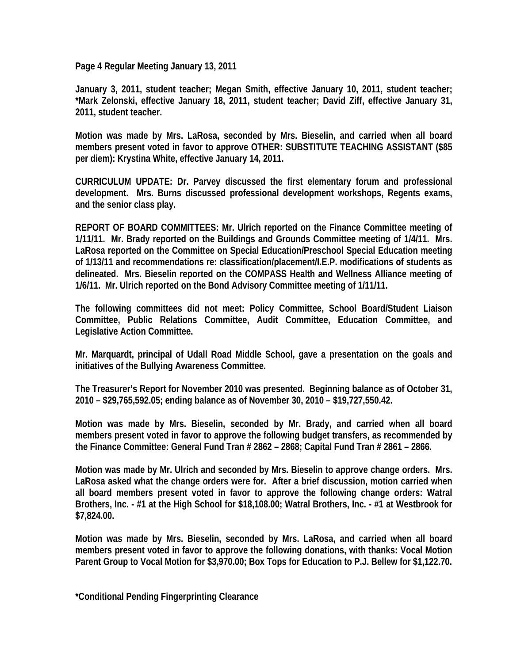**Page 4 Regular Meeting January 13, 2011** 

**January 3, 2011, student teacher; Megan Smith, effective January 10, 2011, student teacher; \*Mark Zelonski, effective January 18, 2011, student teacher; David Ziff, effective January 31, 2011, student teacher.** 

**Motion was made by Mrs. LaRosa, seconded by Mrs. Bieselin, and carried when all board members present voted in favor to approve OTHER: SUBSTITUTE TEACHING ASSISTANT (\$85 per diem): Krystina White, effective January 14, 2011.** 

**CURRICULUM UPDATE: Dr. Parvey discussed the first elementary forum and professional development. Mrs. Burns discussed professional development workshops, Regents exams, and the senior class play.** 

**REPORT OF BOARD COMMITTEES: Mr. Ulrich reported on the Finance Committee meeting of 1/11/11. Mr. Brady reported on the Buildings and Grounds Committee meeting of 1/4/11. Mrs. LaRosa reported on the Committee on Special Education/Preschool Special Education meeting of 1/13/11 and recommendations re: classification/placement/I.E.P. modifications of students as delineated. Mrs. Bieselin reported on the COMPASS Health and Wellness Alliance meeting of 1/6/11. Mr. Ulrich reported on the Bond Advisory Committee meeting of 1/11/11.** 

**The following committees did not meet: Policy Committee, School Board/Student Liaison Committee, Public Relations Committee, Audit Committee, Education Committee, and Legislative Action Committee.** 

**Mr. Marquardt, principal of Udall Road Middle School, gave a presentation on the goals and initiatives of the Bullying Awareness Committee.** 

**The Treasurer's Report for November 2010 was presented. Beginning balance as of October 31, 2010 – \$29,765,592.05; ending balance as of November 30, 2010 – \$19,727,550.42.** 

**Motion was made by Mrs. Bieselin, seconded by Mr. Brady, and carried when all board members present voted in favor to approve the following budget transfers, as recommended by the Finance Committee: General Fund Tran # 2862 – 2868; Capital Fund Tran # 2861 – 2866.** 

**Motion was made by Mr. Ulrich and seconded by Mrs. Bieselin to approve change orders. Mrs. LaRosa asked what the change orders were for. After a brief discussion, motion carried when all board members present voted in favor to approve the following change orders: Watral Brothers, Inc. - #1 at the High School for \$18,108.00; Watral Brothers, Inc. - #1 at Westbrook for \$7,824.00.** 

**Motion was made by Mrs. Bieselin, seconded by Mrs. LaRosa, and carried when all board members present voted in favor to approve the following donations, with thanks: Vocal Motion Parent Group to Vocal Motion for \$3,970.00; Box Tops for Education to P.J. Bellew for \$1,122.70.** 

**\*Conditional Pending Fingerprinting Clearance**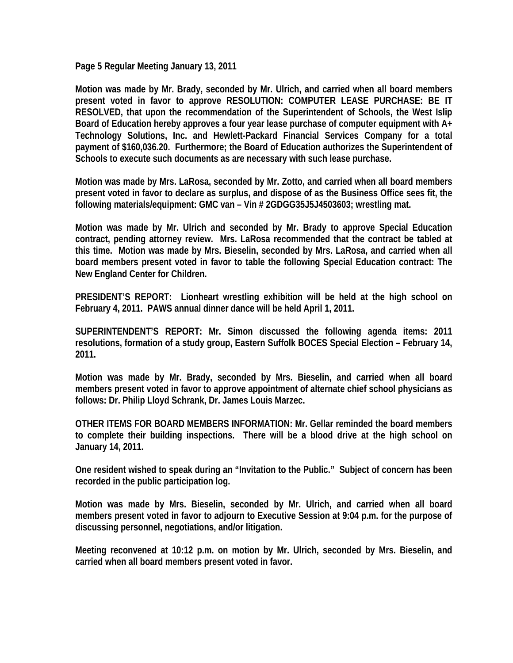**Page 5 Regular Meeting January 13, 2011** 

**Motion was made by Mr. Brady, seconded by Mr. Ulrich, and carried when all board members present voted in favor to approve RESOLUTION: COMPUTER LEASE PURCHASE: BE IT RESOLVED, that upon the recommendation of the Superintendent of Schools, the West Islip Board of Education hereby approves a four year lease purchase of computer equipment with A+ Technology Solutions, Inc. and Hewlett-Packard Financial Services Company for a total payment of \$160,036.20. Furthermore; the Board of Education authorizes the Superintendent of Schools to execute such documents as are necessary with such lease purchase.** 

**Motion was made by Mrs. LaRosa, seconded by Mr. Zotto, and carried when all board members present voted in favor to declare as surplus, and dispose of as the Business Office sees fit, the following materials/equipment: GMC van – Vin # 2GDGG35J5J4503603; wrestling mat.** 

**Motion was made by Mr. Ulrich and seconded by Mr. Brady to approve Special Education contract, pending attorney review. Mrs. LaRosa recommended that the contract be tabled at this time. Motion was made by Mrs. Bieselin, seconded by Mrs. LaRosa, and carried when all board members present voted in favor to table the following Special Education contract: The New England Center for Children.** 

**PRESIDENT'S REPORT: Lionheart wrestling exhibition will be held at the high school on February 4, 2011. PAWS annual dinner dance will be held April 1, 2011.** 

**SUPERINTENDENT'S REPORT: Mr. Simon discussed the following agenda items: 2011 resolutions, formation of a study group, Eastern Suffolk BOCES Special Election – February 14, 2011.** 

**Motion was made by Mr. Brady, seconded by Mrs. Bieselin, and carried when all board members present voted in favor to approve appointment of alternate chief school physicians as follows: Dr. Philip Lloyd Schrank, Dr. James Louis Marzec.** 

**OTHER ITEMS FOR BOARD MEMBERS INFORMATION: Mr. Gellar reminded the board members to complete their building inspections. There will be a blood drive at the high school on January 14, 2011.** 

**One resident wished to speak during an "Invitation to the Public." Subject of concern has been recorded in the public participation log.** 

**Motion was made by Mrs. Bieselin, seconded by Mr. Ulrich, and carried when all board members present voted in favor to adjourn to Executive Session at 9:04 p.m. for the purpose of discussing personnel, negotiations, and/or litigation.** 

**Meeting reconvened at 10:12 p.m. on motion by Mr. Ulrich, seconded by Mrs. Bieselin, and carried when all board members present voted in favor.**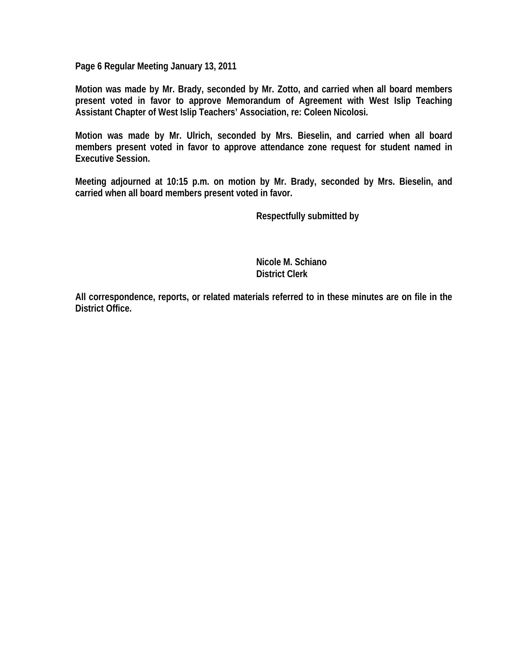**Page 6 Regular Meeting January 13, 2011** 

**Motion was made by Mr. Brady, seconded by Mr. Zotto, and carried when all board members present voted in favor to approve Memorandum of Agreement with West Islip Teaching Assistant Chapter of West Islip Teachers' Association, re: Coleen Nicolosi.** 

**Motion was made by Mr. Ulrich, seconded by Mrs. Bieselin, and carried when all board members present voted in favor to approve attendance zone request for student named in Executive Session.** 

**Meeting adjourned at 10:15 p.m. on motion by Mr. Brady, seconded by Mrs. Bieselin, and carried when all board members present voted in favor.** 

 **Respectfully submitted by** 

 **Nicole M. Schiano District Clerk** 

**All correspondence, reports, or related materials referred to in these minutes are on file in the District Office.**